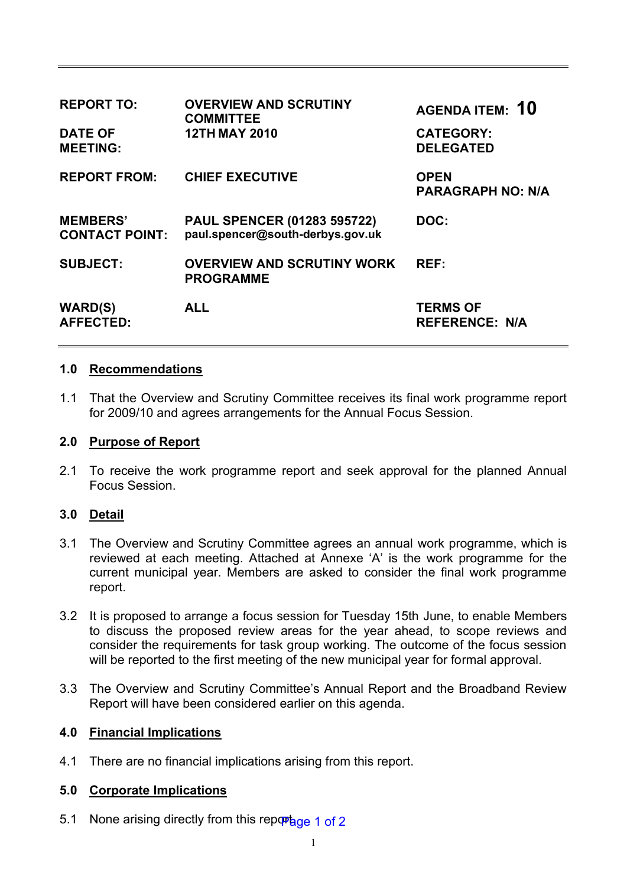| <b>REPORT TO:</b>                        | <b>OVERVIEW AND SCRUTINY</b><br><b>COMMITTEE</b>                       | <b>AGENDA ITEM: 10</b>                   |
|------------------------------------------|------------------------------------------------------------------------|------------------------------------------|
| <b>DATE OF</b><br><b>MEETING:</b>        | <b>12TH MAY 2010</b>                                                   | <b>CATEGORY:</b><br><b>DELEGATED</b>     |
| <b>REPORT FROM:</b>                      | <b>CHIEF EXECUTIVE</b>                                                 | <b>OPEN</b><br><b>PARAGRAPH NO: N/A</b>  |
| <b>MEMBERS'</b><br><b>CONTACT POINT:</b> | <b>PAUL SPENCER (01283 595722)</b><br>paul.spencer@south-derbys.gov.uk | DOC:                                     |
| <b>SUBJECT:</b>                          | <b>OVERVIEW AND SCRUTINY WORK</b><br><b>PROGRAMME</b>                  | REF:                                     |
| <b>WARD(S)</b><br><b>AFFECTED:</b>       | <b>ALL</b>                                                             | <b>TERMS OF</b><br><b>REFERENCE: N/A</b> |

## **1.0 Recommendations**

1.1 That the Overview and Scrutiny Committee receives its final work programme report for 2009/10 and agrees arrangements for the Annual Focus Session.

#### **2.0 Purpose of Report**

2.1 To receive the work programme report and seek approval for the planned Annual Focus Session.

## **3.0 Detail**

- 3.1 The Overview and Scrutiny Committee agrees an annual work programme, which is reviewed at each meeting. Attached at Annexe 'A' is the work programme for the current municipal year. Members are asked to consider the final work programme report.
- 3.2 It is proposed to arrange a focus session for Tuesday 15th June, to enable Members to discuss the proposed review areas for the year ahead, to scope reviews and consider the requirements for task group working. The outcome of the focus session will be reported to the first meeting of the new municipal year for formal approval.
- 3.3 The Overview and Scrutiny Committee's Annual Report and the Broadband Review Report will have been considered earlier on this agenda.

## **4.0 Financial Implications**

4.1 There are no financial implications arising from this report.

#### **5.0 Corporate Implications**

5.1 None arising directly from this reportage 1 of 2